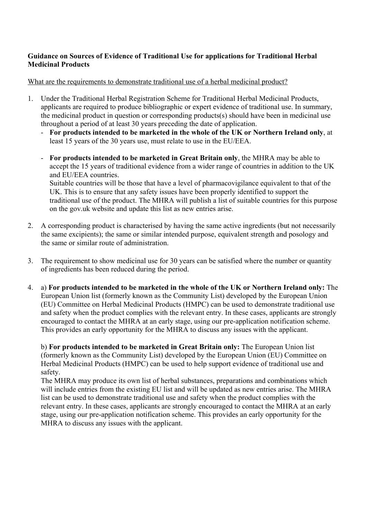## **Guidance on Sources of Evidence of Traditional Use for applications for Traditional Herbal Medicinal Products**

## What are the requirements to demonstrate traditional use of a herbal medicinal product?

- 1. Under the Traditional Herbal Registration Scheme for Traditional Herbal Medicinal Products, applicants are required to produce bibliographic or expert evidence of traditional use. In summary, the medicinal product in question or corresponding products(s) should have been in medicinal use throughout a period of at least 30 years preceding the date of application.
	- **For products intended to be marketed in the whole of the UK or Northern Ireland only**, at least 15 years of the 30 years use, must relate to use in the EU/EEA.
	- **For products intended to be marketed in Great Britain only**, the MHRA may be able to accept the 15 years of traditional evidence from a wider range of countries in addition to the UK and EU/EEA countries.

Suitable countries will be those that have a level of pharmacovigilance equivalent to that of the UK. This is to ensure that any safety issues have been properly identified to support the traditional use of the product. The MHRA will publish a list of suitable countries for this purpose on the gov.uk website and update this list as new entries arise.

- 2. A corresponding product is characterised by having the same active ingredients (but not necessarily the same excipients); the same or similar intended purpose, equivalent strength and posology and the same or similar route of administration.
- 3. The requirement to show medicinal use for 30 years can be satisfied where the number or quantity of ingredients has been reduced during the period.
- 4. a) **For products intended to be marketed in the whole of the UK or Northern Ireland only:** The European Union list (formerly known as the Community List) developed by the European Union (EU) Committee on Herbal Medicinal Products (HMPC) can be used to demonstrate traditional use and safety when the product complies with the relevant entry. In these cases, applicants are strongly encouraged to contact the MHRA at an early stage, using our pre-application notification scheme. This provides an early opportunity for the MHRA to discuss any issues with the applicant.

b) **For products intended to be marketed in Great Britain only:** The European Union list (formerly known as the Community List) developed by the European Union (EU) Committee on Herbal Medicinal Products (HMPC) can be used to help support evidence of traditional use and safety.

The MHRA may produce its own list of herbal substances, preparations and combinations which will include entries from the existing EU list and will be updated as new entries arise. The MHRA list can be used to demonstrate traditional use and safety when the product complies with the relevant entry. In these cases, applicants are strongly encouraged to contact the MHRA at an early stage, using our pre-application notification scheme. This provides an early opportunity for the MHRA to discuss any issues with the applicant.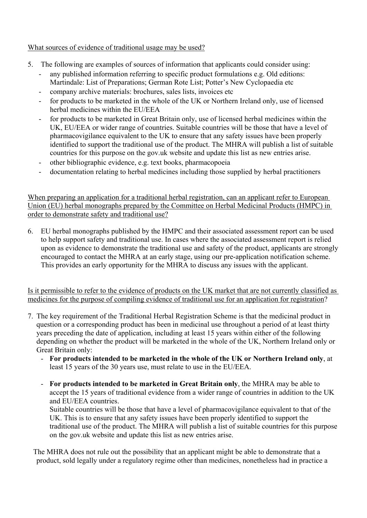## What sources of evidence of traditional usage may be used?

- 5. The following are examples of sources of information that applicants could consider using:
	- any published information referring to specific product formulations e.g. Old editions: Martindale: List of Preparations; German Rote List; Potter's New Cyclopaedia etc
	- company archive materials: brochures, sales lists, invoices etc
	- for products to be marketed in the whole of the UK or Northern Ireland only, use of licensed herbal medicines within the EU/EEA
	- for products to be marketed in Great Britain only, use of licensed herbal medicines within the UK, EU/EEA or wider range of countries. Suitable countries will be those that have a level of pharmacovigilance equivalent to the UK to ensure that any safety issues have been properly identified to support the traditional use of the product. The MHRA will publish a list of suitable countries for this purpose on the gov.uk website and update this list as new entries arise.
	- other bibliographic evidence, e.g. text books, pharmacopoeia
	- documentation relating to herbal medicines including those supplied by herbal practitioners

When preparing an application for a traditional herbal registration, can an applicant refer to European Union (EU) herbal monographs prepared by the Committee on Herbal Medicinal Products (HMPC) in order to demonstrate safety and traditional use?

6. EU herbal monographs published by the HMPC and their associated assessment report can be used to help support safety and traditional use. In cases where the associated assessment report is relied upon as evidence to demonstrate the traditional use and safety of the product, applicants are strongly encouraged to contact the MHRA at an early stage, using our pre-application notification scheme. This provides an early opportunity for the MHRA to discuss any issues with the applicant.

Is it permissible to refer to the evidence of products on the UK market that are not currently classified as medicines for the purpose of compiling evidence of traditional use for an application for registration?

- 7. The key requirement of the Traditional Herbal Registration Scheme is that the medicinal product in question or a corresponding product has been in medicinal use throughout a period of at least thirty years preceding the date of application, including at least 15 years within either of the following depending on whether the product will be marketed in the whole of the UK, Northern Ireland only or Great Britain only:
	- **For products intended to be marketed in the whole of the UK or Northern Ireland only**, at least 15 years of the 30 years use, must relate to use in the EU/EEA.
	- **For products intended to be marketed in Great Britain only**, the MHRA may be able to accept the 15 years of traditional evidence from a wider range of countries in addition to the UK and EU/EEA countries.

Suitable countries will be those that have a level of pharmacovigilance equivalent to that of the UK. This is to ensure that any safety issues have been properly identified to support the traditional use of the product. The MHRA will publish a list of suitable countries for this purpose on the gov.uk website and update this list as new entries arise.

 The MHRA does not rule out the possibility that an applicant might be able to demonstrate that a product, sold legally under a regulatory regime other than medicines, nonetheless had in practice a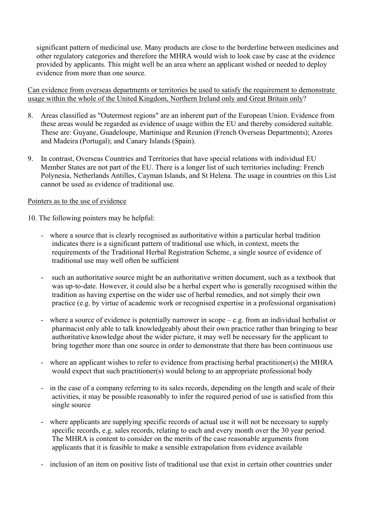significant pattern of medicinal use. Many products are close to the borderline between medicines and other regulatory categories and therefore the MHRA would wish to look case by case at the evidence provided by applicants. This might well be an area where an applicant wished or needed to deploy evidence from more than one source.

Can evidence from overseas departments or territories be used to satisfy the requirement to demonstrate usage within the whole of the United Kingdom, Northern Ireland only and Great Britain only?

- 8. Areas classified as "Outermost regions" are an inherent part of the European Union. Evidence from these areas would be regarded as evidence of usage within the EU and thereby considered suitable. These are: Guyane, Guadeloupe, Martinique and Reunion (French Overseas Departments); Azores and Madeira (Portugal); and Canary Islands (Spain).
- 9. In contrast, Overseas Countries and Territories that have special relations with individual EU Member States are not part of the EU. There is a longer list of such territories including: French Polynesia, Netherlands Antilles, Cayman Islands, and St Helena. The usage in countries on this List cannot be used as evidence of traditional use.

## Pointers as to the use of evidence

10. The following pointers may be helpful:

- where a source that is clearly recognised as authoritative within a particular herbal tradition indicates there is a significant pattern of traditional use which, in context, meets the requirements of the Traditional Herbal Registration Scheme, a single source of evidence of traditional use may well often be sufficient
- such an authoritative source might be an authoritative written document, such as a textbook that was up-to-date. However, it could also be a herbal expert who is generally recognised within the tradition as having expertise on the wider use of herbal remedies, and not simply their own practice (e.g. by virtue of academic work or recognised expertise in a professional organisation)
- where a source of evidence is potentially narrower in scope e.g. from an individual herbalist or pharmacist only able to talk knowledgeably about their own practice rather than bringing to bear authoritative knowledge about the wider picture, it may well be necessary for the applicant to bring together more than one source in order to demonstrate that there has been continuous use
- where an applicant wishes to refer to evidence from practising herbal practitioner(s) the MHRA would expect that such practitioner(s) would belong to an appropriate professional body
- in the case of a company referring to its sales records, depending on the length and scale of their activities, it may be possible reasonably to infer the required period of use is satisfied from this single source
- where applicants are supplying specific records of actual use it will not be necessary to supply specific records, e.g. sales records, relating to each and every month over the 30 year period. The MHRA is content to consider on the merits of the case reasonable arguments from applicants that it is feasible to make a sensible extrapolation from evidence available
- inclusion of an item on positive lists of traditional use that exist in certain other countries under